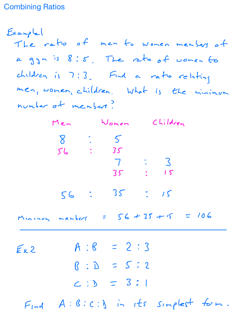## Combining Ratios

 $Exanple$ The ratio of men to women members of a gyn is 8:5. The ratio of women to  $childer$  is  $7:3$ . Find a ratio relating men women children What is the minimum number of members Men Women Children

8 5 56 35 7 3 35 15 56 35 15

 $M$ Ininum members =  $56 + 35 + 15 = 106$ 

 $E_{x,2}$   $A:6 = 2:3$  $\beta$  :  $D$  =  $5:2$  $C : D = 3 : 1$  $F_{ind}$   $A: B: c: y$  in its simplest form.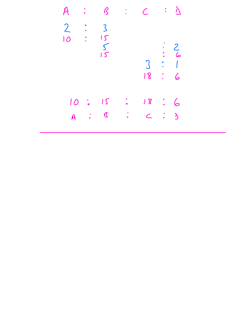| H                                |                      |                    | $\mathcal{C}$                          |   | $\mathcal{C}$                  | $\therefore$ $\vee$                              |                       |
|----------------------------------|----------------------|--------------------|----------------------------------------|---|--------------------------------|--------------------------------------------------|-----------------------|
| $\overline{2}$<br>$\overline{O}$ |                      |                    | $\mathsf{S}$<br>$\frac{15}{15}$        |   | $\mathfrak{Z}$<br>18           | 6<br>$\bullet$<br>e<br>A<br>$\frac{1}{\sqrt{2}}$ | 2 <sub>6</sub>        |
|                                  | 10<br>$\overline{A}$ | $\frac{1}{\sigma}$ | $J\zeta$<br>$\boldsymbol{\mathcal{Q}}$ | è | 18<br>$\overline{\mathcal{L}}$ | $\frac{1}{\sqrt{2}}$                             | 6<br>$\sum_{i=1}^{n}$ |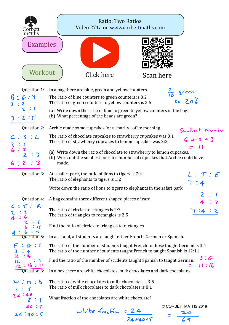